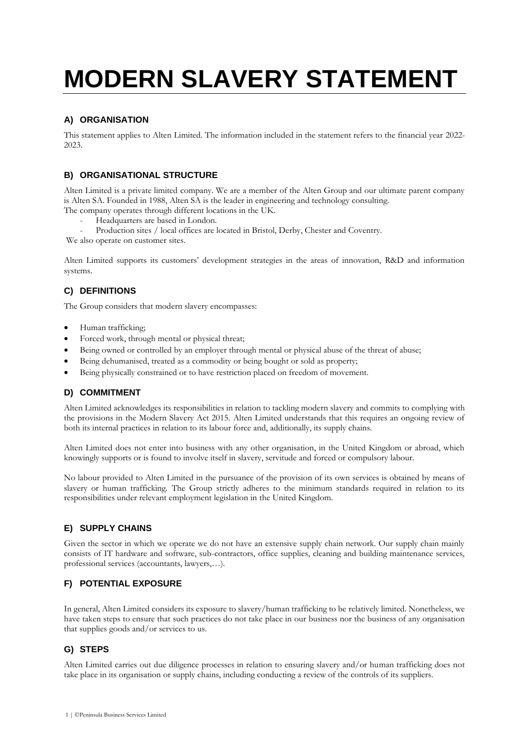# **MODERN SLAVERY STATEMENT**

### **A) ORGANISATION**

This statement applies to Alten Limited. The information included in the statement refers to the financial year 2022- 2023.

## **B) ORGANISATIONAL STRUCTURE**

Alten Limited is a private limited company. We are a member of the Alten Group and our ultimate parent company is Alten SA. Founded in 1988, Alten SA is the leader in engineering and technology consulting. The company operates through different locations in the UK.

- Headquarters are based in London.
- Production sites / local offices are located in Bristol, Derby, Chester and Coventry.
- We also operate on customer sites.

Alten Limited supports its customers' development strategies in the areas of innovation, R&D and information systems.

## **C) DEFINITIONS**

The Group considers that modern slavery encompasses:

- Human trafficking;
- Forced work, through mental or physical threat;
- Being owned or controlled by an employer through mental or physical abuse of the threat of abuse;
- Being dehumanised, treated as a commodity or being bought or sold as property;
- Being physically constrained or to have restriction placed on freedom of movement.

#### **D) COMMITMENT**

Alten Limited acknowledges its responsibilities in relation to tackling modern slavery and commits to complying with the provisions in the Modern Slavery Act 2015. Alten Limited understands that this requires an ongoing review of both its internal practices in relation to its labour force and, additionally, its supply chains.

Alten Limited does not enter into business with any other organisation, in the United Kingdom or abroad, which knowingly supports or is found to involve itself in slavery, servitude and forced or compulsory labour.

No labour provided to Alten Limited in the pursuance of the provision of its own services is obtained by means of slavery or human trafficking. The Group strictly adheres to the minimum standards required in relation to its responsibilities under relevant employment legislation in the United Kingdom.

## **E) SUPPLY CHAINS**

Given the sector in which we operate we do not have an extensive supply chain network. Our supply chain mainly consists of IT hardware and software, sub-contractors, office supplies, cleaning and building maintenance services, professional services (accountants, lawyers,…).

#### **F) POTENTIAL EXPOSURE**

In general, Alten Limited considers its exposure to slavery/human trafficking to be relatively limited. Nonetheless, we have taken steps to ensure that such practices do not take place in our business nor the business of any organisation that supplies goods and/or services to us.

#### **G) STEPS**

Alten Limited carries out due diligence processes in relation to ensuring slavery and/or human trafficking does not take place in its organisation or supply chains, including conducting a review of the controls of its suppliers.